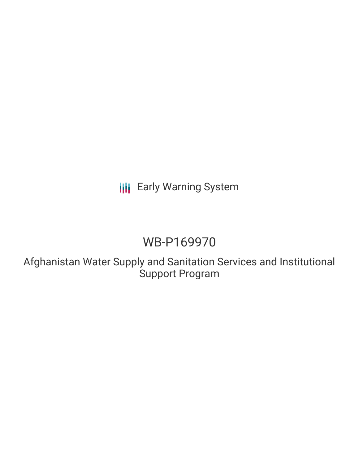# **III** Early Warning System

# WB-P169970

Afghanistan Water Supply and Sanitation Services and Institutional Support Program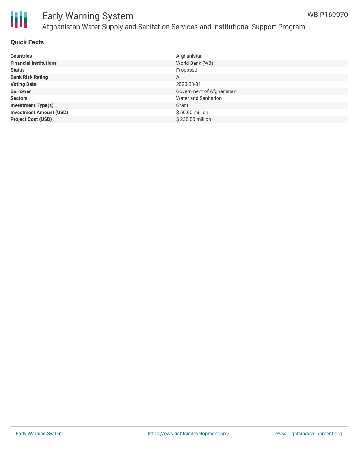

# Ш

## Early Warning System Afghanistan Water Supply and Sanitation Services and Institutional Support Program

#### **Quick Facts**

| <b>Countries</b>               | Afghanistan                 |
|--------------------------------|-----------------------------|
| <b>Financial Institutions</b>  | World Bank (WB)             |
| <b>Status</b>                  | Proposed                    |
| <b>Bank Risk Rating</b>        | A                           |
| <b>Voting Date</b>             | 2020-03-31                  |
| <b>Borrower</b>                | Government of Afghanistan   |
| <b>Sectors</b>                 | <b>Water and Sanitation</b> |
| <b>Investment Type(s)</b>      | Grant                       |
| <b>Investment Amount (USD)</b> | \$50.00 million             |
| <b>Project Cost (USD)</b>      | \$230,00 million            |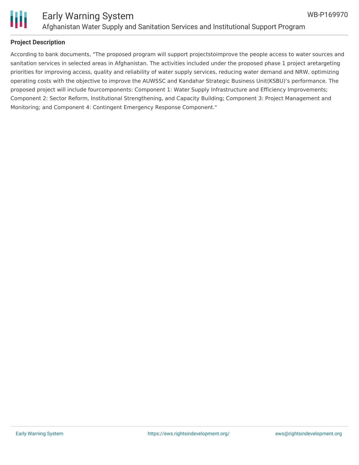

#### **Project Description**

According to bank documents, "The proposed program will support projectstoimprove the people access to water sources and sanitation services in selected areas in Afghanistan. The activities included under the proposed phase 1 project aretargeting priorities for improving access, quality and reliability of water supply services, reducing water demand and NRW, optimizing operating costs with the objective to improve the AUWSSC and Kandahar Strategic Business Unit(KSBU)'s performance. The proposed project will include fourcomponents: Component 1: Water Supply Infrastructure and Efficiency Improvements; Component 2: Sector Reform, Institutional Strengthening, and Capacity Building; Component 3: Project Management and Monitoring; and Component 4: Contingent Emergency Response Component."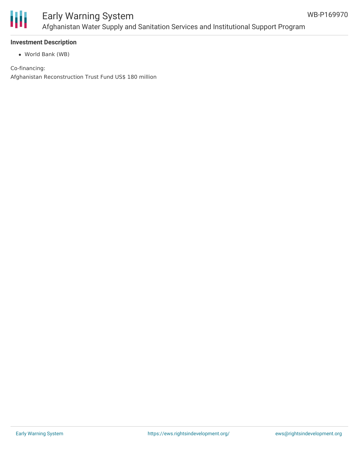

## Early Warning System Afghanistan Water Supply and Sanitation Services and Institutional Support Program

#### **Investment Description**

World Bank (WB)

Co-financing: Afghanistan Reconstruction Trust Fund US\$ 180 million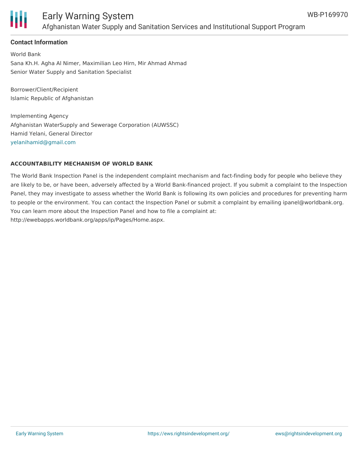

### Early Warning System Afghanistan Water Supply and Sanitation Services and Institutional Support Program

#### **Contact Information**

World Bank Sana Kh.H. Agha Al Nimer, Maximilian Leo Hirn, Mir Ahmad Ahmad Senior Water Supply and Sanitation Specialist

Borrower/Client/Recipient Islamic Republic of Afghanistan

Implementing Agency Afghanistan WaterSupply and Sewerage Corporation (AUWSSC) Hamid Yelani, General Director [yelanihamid@gmail.com](mailto:yelanihamid@gmail.com)

#### **ACCOUNTABILITY MECHANISM OF WORLD BANK**

The World Bank Inspection Panel is the independent complaint mechanism and fact-finding body for people who believe they are likely to be, or have been, adversely affected by a World Bank-financed project. If you submit a complaint to the Inspection Panel, they may investigate to assess whether the World Bank is following its own policies and procedures for preventing harm to people or the environment. You can contact the Inspection Panel or submit a complaint by emailing ipanel@worldbank.org. You can learn more about the Inspection Panel and how to file a complaint at: http://ewebapps.worldbank.org/apps/ip/Pages/Home.aspx.